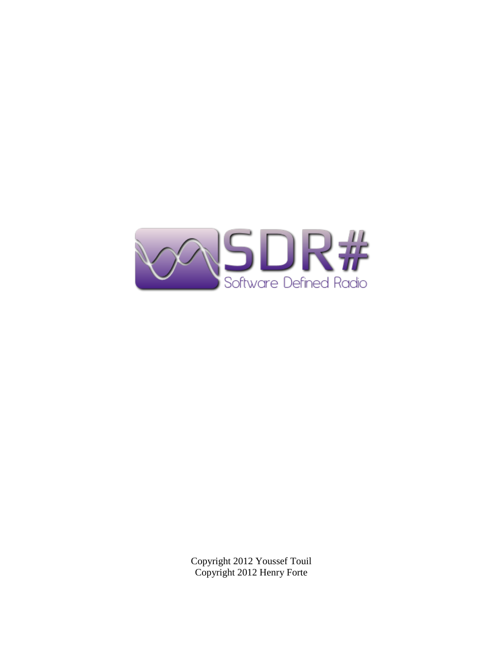

Copyright 2012 Youssef Touil Copyright 2012 Henry Forte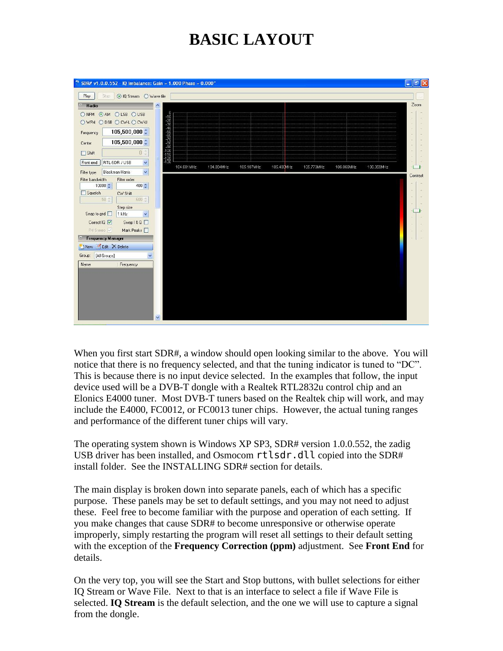# **BASIC LAYOUT**



When you first start SDR#, a window should open looking similar to the above. You will notice that there is no frequency selected, and that the tuning indicator is tuned to "DC". This is because there is no input device selected. In the examples that follow, the input device used will be a DVB-T dongle with a Realtek RTL2832u control chip and an Elonics E4000 tuner. Most DVB-T tuners based on the Realtek chip will work, and may include the E4000, FC0012, or FC0013 tuner chips. However, the actual tuning ranges and performance of the different tuner chips will vary.

The operating system shown is Windows XP SP3, SDR# version 1.0.0.552, the zadig USB driver has been installed, and Osmocom rtlsdr.dll copied into the SDR# install folder. See the INSTALLING SDR# section for details.

The main display is broken down into separate panels, each of which has a specific purpose. These panels may be set to default settings, and you may not need to adjust these. Feel free to become familiar with the purpose and operation of each setting. If you make changes that cause SDR# to become unresponsive or otherwise operate improperly, simply restarting the program will reset all settings to their default setting with the exception of the **Frequency Correction (ppm)** adjustment. See **Front End** for details.

On the very top, you will see the Start and Stop buttons, with bullet selections for either IQ Stream or Wave File. Next to that is an interface to select a file if Wave File is selected. **IQ Stream** is the default selection, and the one we will use to capture a signal from the dongle.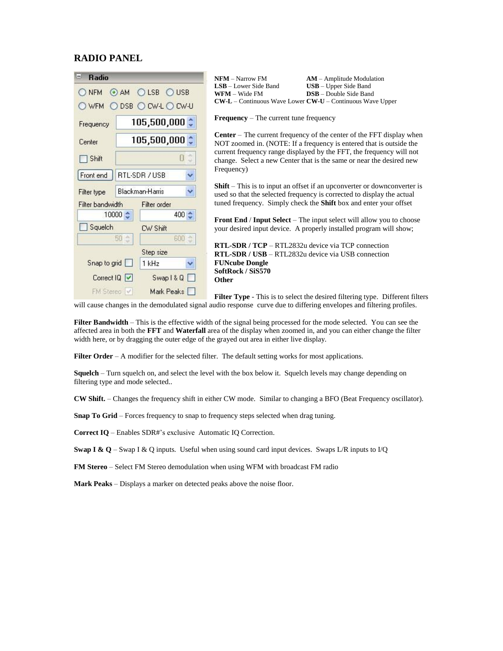#### **RADIO PANEL**

| Ξ<br><b>Radio</b>                                   | <b>NFM</b> – Narrow FM<br>$AM - Amplitude Modulation$                                                                                                      |
|-----------------------------------------------------|------------------------------------------------------------------------------------------------------------------------------------------------------------|
| <b>LSB</b><br>USB.<br><b>NFM</b><br>AM<br>$\bullet$ | $USB – Upper Side Band$<br><b>LSB</b> – Lower Side Band<br><b>DSB</b> - Double Side Band<br><b>WFM</b> – Wide FM                                           |
|                                                     | $CW-L$ – Continuous Wave Lower $CW-U$ – Continuous Wave Upper                                                                                              |
| DSB O CW-L O CW-U<br>WFM                            |                                                                                                                                                            |
| $105,500,000$ $\hat{ }$<br>Frequency                | Frequency - The current tune frequency                                                                                                                     |
| $105,500,000$ $\hat{ }$<br>Center                   | <b>Center</b> – The current frequency of the center of the FFT display when<br>NOT zoomed in. (NOTE: If a frequency is entered that is outside the         |
| đ<br>0<br>Shift                                     | current frequency range displayed by the FFT, the frequency will not<br>change. Select a new Center that is the same or near the desired new<br>Frequency) |
| Y<br>RTL-SDR / USB<br>Front end                     |                                                                                                                                                            |
| Ÿ<br>Blackman-Harris<br>Filter type                 | <b>Shift</b> – This is to input an offset if an upconverter or downconverter is<br>used so that the selected frequency is corrected to display the actual  |
| Filter bandwidth<br>Filter order                    | tuned frequency. Simply check the <b>Shift</b> box and enter your offset                                                                                   |
| 10000 ↔<br>400 순                                    | <b>Front End / Input Select</b> – The input select will allow you to choose                                                                                |
| Squelch<br>CW Shift                                 | your desired input device. A properly installed program will show;                                                                                         |
| $600 -$<br>50 <sup>o</sup>                          | <b>RTL-SDR</b> / $TCP - RTL2832u$ device via $TCP$ connection                                                                                              |
| Step size                                           | <b>RTL-SDR</b> / USB – RTL2832u device via USB connection                                                                                                  |
| Snap to grid<br>1 kHz<br>v                          | <b>FUNcube Dongle</b>                                                                                                                                      |
|                                                     | SoftRock / SiS570                                                                                                                                          |
| Correct IQ V<br>Swap1&Q                             | <b>Other</b>                                                                                                                                               |
| Mark Peaks<br>FM Stereo V                           | <b>Filter Type</b> - This is to select the desired filtering type. Different filters                                                                       |

will cause changes in the demodulated signal audio response curve due to differing envelopes and filtering profiles.

**Filter Bandwidth** – This is the effective width of the signal being processed for the mode selected. You can see the affected area in both the **FFT** and **Waterfall** area of the display when zoomed in, and you can either change the filter width here, or by dragging the outer edge of the grayed out area in either live display.

Filter Order – A modifier for the selected filter. The default setting works for most applications.

**Squelch** – Turn squelch on, and select the level with the box below it. Squelch levels may change depending on filtering type and mode selected..

**CW Shift.** – Changes the frequency shift in either CW mode. Similar to changing a BFO (Beat Frequency oscillator).

**Snap To Grid** – Forces frequency to snap to frequency steps selected when drag tuning.

**Correct IQ** – Enables SDR#'s exclusive Automatic IQ Correction.

**Swap I & Q** – Swap I & Q inputs. Useful when using sound card input devices. Swaps L/R inputs to I/Q

**FM Stereo** – Select FM Stereo demodulation when using WFM with broadcast FM radio

**Mark Peaks** – Displays a marker on detected peaks above the noise floor.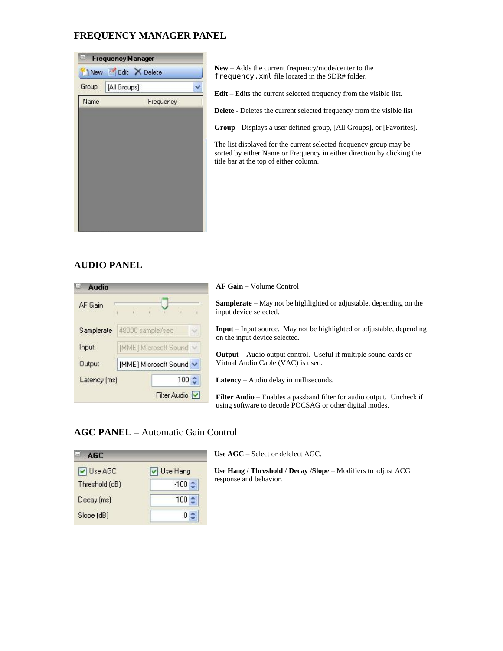## **FREQUENCY MANAGER PANEL**

|        | New Field X Delete |           |  |
|--------|--------------------|-----------|--|
| Group: | [All Groups]       |           |  |
| Name   |                    | Frequency |  |
|        |                    |           |  |
|        |                    |           |  |
|        |                    |           |  |
|        |                    |           |  |
|        |                    |           |  |
|        |                    |           |  |
|        |                    |           |  |
|        |                    |           |  |

**New** – Adds the current frequency/mode/center to the frequency.xml file located in the SDR# folder.

**Edit** – Edits the current selected frequency from the visible list.

**Delete** - Deletes the current selected frequency from the visible list

**Group** - Displays a user defined group, [All Groups], or [Favorites].

The list displayed for the current selected frequency group may be sorted by either Name or Frequency in either direction by clicking the title bar at the top of either column.

### **AUDIO PANEL**

| <b>Audio</b> |                       |  |              |  |                       | <b>AF</b> Gain         |
|--------------|-----------------------|--|--------------|--|-----------------------|------------------------|
| AF Gain      |                       |  |              |  |                       | Sampler<br>input dev   |
| Samplerate   | 48000 sample/sec      |  |              |  |                       | $Input-I$<br>on the in |
| Input        | [MME] Microsoft Sound |  |              |  |                       |                        |
| Output       | [MME] Microsoft Sound |  |              |  | Output -<br>Virtual A |                        |
| Latency [ms] |                       |  |              |  | 100 순                 | Latency                |
|              |                       |  | Filter Audio |  |                       | <b>Filter Au</b><br>c  |

**AF Gain –** Volume Control

ate – May not be highlighted or adjustable, depending on the ice selected.

Input source. May not be highlighted or adjustable, depending put device selected.

Audio output control. Useful if multiple sound cards or vudio Cable (VAC) is used.

**Latency** – Audio delay in milliseconds.

**Filter Audio** – Enables a passband filter for audio output. Uncheck if using software to decode POCSAG or other digital modes.

### **AGC PANEL –** Automatic Gain Control

| AGC.           |          |
|----------------|----------|
| V Use AGC      | Use Hang |
| Threshold (dB) | $-100$   |
| Decay [ms]     | 100      |
| Slope (dB)     |          |

**Use AGC** – Select or delelect AGC.

**Use Hang** / **Threshold** / **Decay** /**Slope** – Modifiers to adjust ACG response and behavior.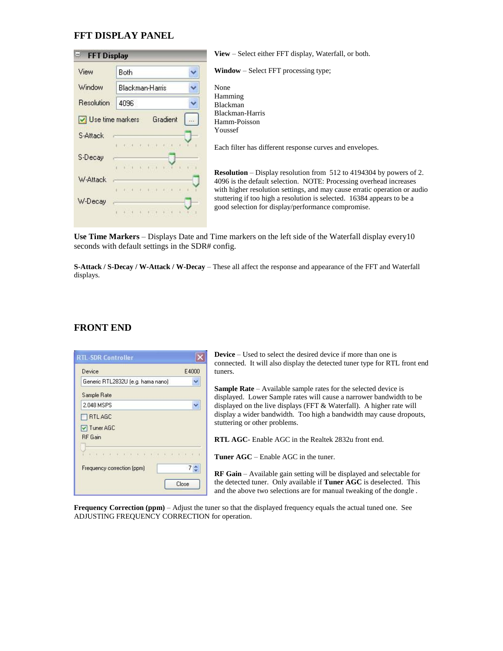### **FFT DISPLAY PANEL**

| <b>FFT Display</b> |                         | View – Select either FFT display, Waterfall, or both.                                                                                                                                                                         |
|--------------------|-------------------------|-------------------------------------------------------------------------------------------------------------------------------------------------------------------------------------------------------------------------------|
| View               | Ÿ<br>Both               | <b>Window</b> – Select FFT processing type;                                                                                                                                                                                   |
| Window             | Blackman-Harris         | None                                                                                                                                                                                                                          |
| <b>Resolution</b>  | 4096                    | Hamming<br><b>Blackman</b>                                                                                                                                                                                                    |
| Use time markers   | Gradient<br>$\ddotsc$   | Blackman-Harris<br>Hamm-Poisson                                                                                                                                                                                               |
| S-Attack           | or or eith also or and  | Youssef                                                                                                                                                                                                                       |
| S-Decay            |                         | Each filter has different response curves and envelopes.                                                                                                                                                                      |
| W-Attack           | OF RECEIVED A REPORT OF | <b>Resolution</b> – Display resolution from 512 to 4194304 by powers of 2.<br>4096 is the default selection. NOTE: Processing overhead increases<br>with higher resolution settings, and may cause erratic operation or audio |
| W-Decay            |                         | stuttering if too high a resolution is selected. 16384 appears to be a<br>good selection for display/performance compromise.                                                                                                  |

**Use Time Markers** – Displays Date and Time markers on the left side of the Waterfall display every10 seconds with default settings in the SDR# config.

**S-Attack / S-Decay / W-Attack / W-Decay** – These all affect the response and appearance of the FFT and Waterfall displays.

# **FRONT END**

| <b>RTL-SDR Controller</b>         |             | <b>Device</b> $-$ Used to select the desired device if more than one is<br>connected. It will also display the detected tuner type for RTL front end                                                                |
|-----------------------------------|-------------|---------------------------------------------------------------------------------------------------------------------------------------------------------------------------------------------------------------------|
| Device                            | E4000       | tuners.                                                                                                                                                                                                             |
| Generic RTL2832U (e.g. hama nano) |             |                                                                                                                                                                                                                     |
| Sample Rate                       |             | <b>Sample Rate</b> – Available sample rates for the selected device is<br>displayed. Lower Sample rates will cause a narrower bandwidth to be                                                                       |
| 2.048 MSPS                        | $\ddotmark$ | displayed on the live displays (FFT $\&$ Waterfall). A higher rate will                                                                                                                                             |
| $\Box$ RTLAGC                     |             | display a wider bandwidth. Too high a bandwidth may cause dropouts,                                                                                                                                                 |
| $\sqrt{}$ Tuner AGC               |             | stuttering or other problems.                                                                                                                                                                                       |
| <b>RF</b> Gain                    |             | <b>RTL AGC</b> - Enable AGC in the Realtek 2832u front end.                                                                                                                                                         |
|                                   |             | <b>Tuner AGC</b> – Enable AGC in the tuner.                                                                                                                                                                         |
| Frequency correction (ppm)        | 7승<br>Close | RF Gain - Available gain setting will be displayed and selectable for<br>the detected tuner. Only available if Tuner AGC is deselected. This<br>and the above two selections are for manual tweaking of the dongle. |

**Frequency Correction (ppm)** – Adjust the tuner so that the displayed frequency equals the actual tuned one. See ADJUSTING FREQUENCY CORRECTION for operation.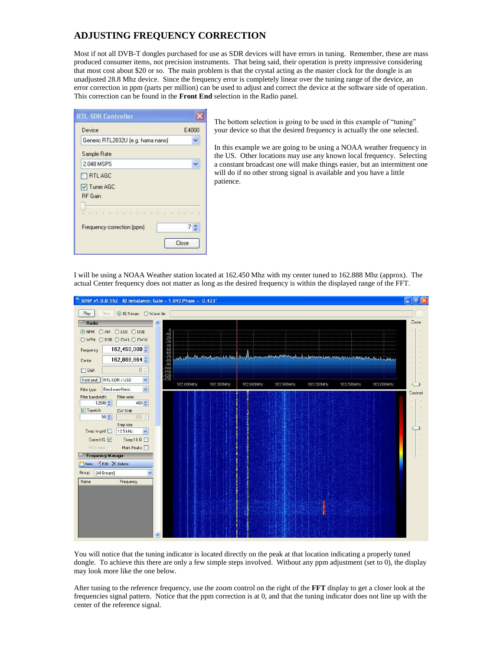# **ADJUSTING FREQUENCY CORRECTION**

Most if not all DVB-T dongles purchased for use as SDR devices will have errors in tuning. Remember, these are mass produced consumer items, not precision instruments. That being said, their operation is pretty impressive considering that most cost about \$20 or so. The main problem is that the crystal acting as the master clock for the dongle is an unadjusted 28.8 Mhz device. Since the frequency error is completely linear over the tuning range of the device, an error correction in ppm (parts per million) can be used to adjust and correct the device at the software side of operation. This correction can be found in the **Front End** selection in the Radio panel.

| <b>RTL-SDR Controller</b>            |              |
|--------------------------------------|--------------|
| Device                               | E4000        |
| Generic RTL2832U (e.g. hama nano)    |              |
| Sample Rate                          |              |
| 2.048 MSPS                           |              |
| RTLAGC                               |              |
| <b>▽ Tuner AGC</b><br><b>RF</b> Gain |              |
|                                      |              |
| Frequency correction (ppm)           | 7 ≙<br>Close |

The bottom selection is going to be used in this example of "tuning" your device so that the desired frequency is actually the one selected.

In this example we are going to be using a NOAA weather frequency in the US. Other locations may use any known local frequency. Selecting a constant broadcast one will make things easier, but an intermittent one will do if no other strong signal is available and you have a little patience.

I will be using a NOAA Weather station located at 162.450 Mhz with my center tuned to 162.888 Mhz (approx). The actual Center frequency does not matter as long as the desired frequency is within the displayed range of the FFT.



You will notice that the tuning indicator is located directly on the peak at that location indicating a properly tuned dongle. To achieve this there are only a few simple steps involved. Without any ppm adjustment (set to 0), the display may look more like the one below.

After tuning to the reference frequency, use the zoom control on the right of the **FFT** display to get a closer look at the frequencies signal pattern. Notice that the ppm correction is at 0, and that the tuning indicator does not line up with the center of the reference signal.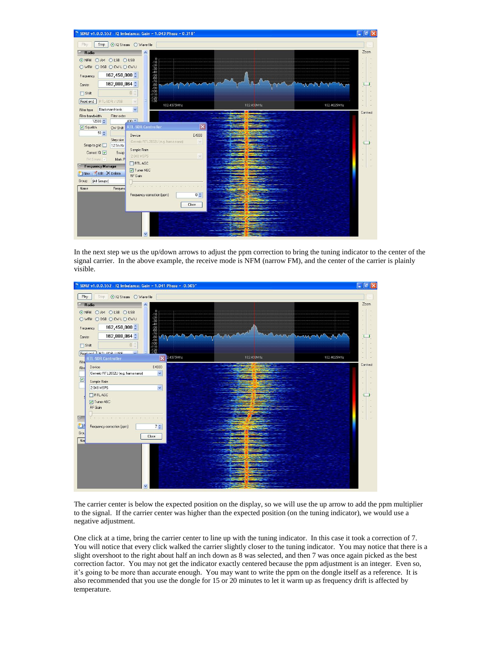

In the next step we us the up/down arrows to adjust the ppm correction to bring the tuning indicator to the center of the signal carrier. In the above example, the receive mode is NFM (narrow FM), and the center of the carrier is plainly visible.



The carrier center is below the expected position on the display, so we will use the up arrow to add the ppm multiplier to the signal. If the carrier center was higher than the expected position (on the tuning indicator), we would use a negative adjustment.

One click at a time, bring the carrier center to line up with the tuning indicator. In this case it took a correction of 7. You will notice that every click walked the carrier slightly closer to the tuning indicator. You may notice that there is a slight overshoot to the right about half an inch down as 8 was selected, and then 7 was once again picked as the best correction factor. You may not get the indicator exactly centered because the ppm adjustment is an integer. Even so, it's going to be more than accurate enough. You may want to write the ppm on the dongle itself as a reference. It is also recommended that you use the dongle for 15 or 20 minutes to let it warm up as frequency drift is affected by temperature.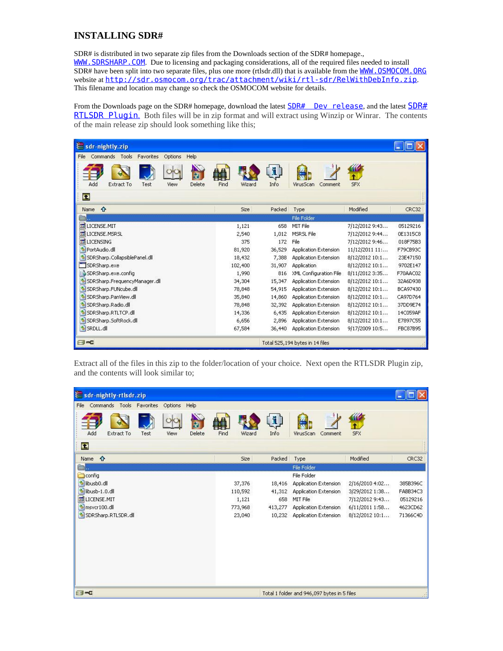# **INSTALLING SDR#**

SDR# is distributed in two separate zip files from the Downloads section of the SDR# homepage., WWW. SDRSHARP. COM. Due to licensing and packaging considerations, all of the required files needed to install SDR# have been split into two separate files, plus one more (rtlsdr.dll) that is available from the [WWW.OSMOCOM.ORG](http://www.osmocom.org/) website at <http://sdr.osmocom.org/trac/attachment/wiki/rtl-sdr/RelWithDebInfo.zip>. This filename and location may change so check the OSMOCOM website for details.

From the Downloads page on the [SDR#](http://sdrsharp.com/downloads/sdr-nightly-rtlsdr.zip) homepage, download the latest **SDR#** Dev release, and the latest **SDR#** [RTLSDR Plugin](http://sdrsharp.com/downloads/sdr-nightly-rtlsdr.zip). Both files will be in zip format and will extract using Winzip or Winrar. The contents of the main release zip should look something like this;

| $\equiv$ sdr-nightly.zip                               |                |            |                                 |                |                 |
|--------------------------------------------------------|----------------|------------|---------------------------------|----------------|-----------------|
| Commands Tools<br>Help<br>Favorites<br>Options<br>File |                |            |                                 |                |                 |
| Add<br>Delete<br>Extract To<br>Test<br>View            | Find<br>Wizard | i.<br>Info | VirusScan<br>Comment            | <b>SFX</b>     |                 |
| $\bullet$                                              |                |            |                                 |                |                 |
| $\hat{r}$<br>Name                                      | Size           | Packed     | Type                            | Modified       | CRC32           |
|                                                        |                |            | File Folder                     |                |                 |
| 圖<br>LICENSE.MIT                                       | 1,121          | 658        | MIT File                        | 7/12/2012 9:43 | 05129216        |
| LICENSE, MSRSL                                         | 2,540          | 1,012      | MSRSL File                      | 7/12/2012 9:44 | 0E1315C8        |
| <b>Ed</b> LICENSING                                    | 375            | 172        | File                            | 7/12/2012 9:46 | 018F75B3        |
| PortAudio.dll                                          | 81,920         | 36,529     | Application Extension           | 11/12/2011 11: | F79CB93C        |
| SDRSharp, CollapsiblePanel, dll                        | 18,432         | 7.388      | Application Extension           | 8/12/2012 10:1 | 23E47150        |
| SDRSharp.exe                                           | 102,400        | 31,907     | <b>Application</b>              | 8/12/2012 10:1 | 9702E147        |
| SDRSharp.exe.config                                    | 1,990          | 816        | XML Configuration File          | 8/11/2012 3:35 | F70AAC02        |
| SDRSharp.FrequencyManager.dll                          | 34,304         | 15,347     | Application Extension           | 8/12/2012 10:1 | 32A6D938        |
| SDRSharp.FUNcube.dll                                   | 78,848         | 54,915     | Application Extension           | 8/12/2012 10:1 | BCA97430        |
| SDRSharp.PanView.dll                                   | 35,840         | 14,860     | Application Extension           | 8/12/2012 10:1 | CA97D764        |
| SDRSharp.Radio.dll                                     | 78,848         | 32,392     | <b>Application Extension</b>    | 8/12/2012 10:1 | 37DD9E74        |
| SDRSharp.RTLTCP.dll                                    | 14,336         | 6,435      | Application Extension           | 8/12/2012 10:1 | 14C059AF        |
| SDRSharp.SoftRock.dll                                  | 6,656          | 2,896      | Application Extension           | 8/12/2012 10:1 | E7897C55        |
| SRDLL, dll                                             | 67,584         | 36,440     | Application Extension           | 9/17/2009 10:5 | <b>FBC87B95</b> |
| $\Box$                                                 |                |            | Total 525,194 bytes in 14 files |                |                 |

Extract all of the files in this zip to the folder/location of your choice. Next open the RTLSDR Plugin zip, and the contents will look similar to;

| ₹ sdr-nightly-rtlsdr.zip                                      |                |                  |                                             |                |          |
|---------------------------------------------------------------|----------------|------------------|---------------------------------------------|----------------|----------|
| Commands Tools Favorites<br>Help<br>Options<br>File           |                |                  |                                             |                |          |
| $\overline{x}$<br>Delete<br>Add<br>Extract To<br>Test<br>View | Find<br>Wizard | $\bf{N}$<br>Info | VirusScan<br>Comment                        | <b>SFX</b>     |          |
| $\bullet$                                                     |                |                  |                                             |                |          |
| Name <b>f</b>                                                 | Size           | Packed           | Type                                        | Modified       | CRC32    |
| a.                                                            |                |                  | File Folder                                 |                |          |
| config                                                        |                |                  | File Folder                                 |                |          |
| dibusb0.dll                                                   | 37,376         | 18,416           | Application Extension                       | 2/16/2010 4:02 | 385B396C |
| <sup>b</sup> libusb-1.0.dll                                   | 110,592        | 41,312           | Application Extension                       | 3/29/2012 1:38 | FABB34C3 |
| LICENSE.MIT                                                   | 1,121          | 658              | MIT File                                    | 7/12/2012 9:43 | 05129216 |
| msvcr100.dll                                                  | 773,968        | 413,277          | <b>Application Extension</b>                | 6/11/20111:58  | 4623CD62 |
| SDRSharp.RTLSDR.dll                                           | 23,040         |                  | 10,232 Application Extension                | 8/12/2012 10:1 | 71366C4D |
|                                                               |                |                  |                                             |                |          |
|                                                               |                |                  |                                             |                |          |
|                                                               |                |                  |                                             |                |          |
|                                                               |                |                  |                                             |                |          |
|                                                               |                |                  |                                             |                |          |
| $\Box$                                                        |                |                  | Total 1 folder and 946,097 bytes in 5 files |                |          |